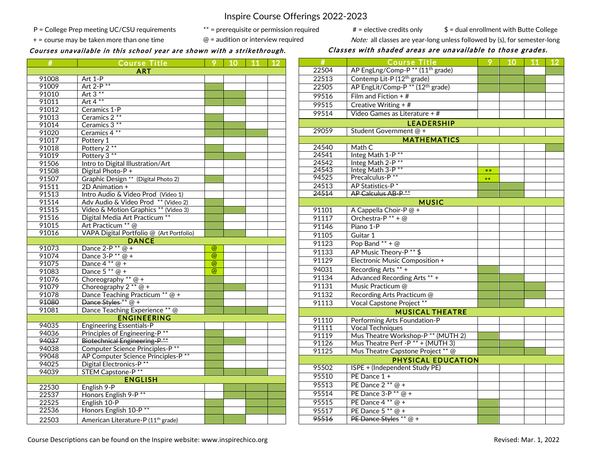Inspire Course Offerings 2022-2023

 Pop Band \*\* + @ 91133 | AP Music Theory-P<sup>\*\*</sup> \$ 91129 | Electronic Music Composition +

P = College Prep meeting UC/CSU requirements  $^{**}$  = prerequisite or permission required  $\qquad #$  = elective credits only  $$ =$  dual enrollment with Butte College

+ = course may be taken more than one time  $\textcircled{}}$  = audition or interview required  $\textcircled{}}$  Note: all classes are year-long unless followed by (s), for semester-long

# Courses unavailable in this school year are shown with a strikethrough. Classes with shaded areas are unavailable to those grades.

| #     | <b>Course Title</b>                                                    | 9                   | 10 | 11 | <b>12</b> |
|-------|------------------------------------------------------------------------|---------------------|----|----|-----------|
|       | <b>ART</b>                                                             |                     |    |    |           |
| 91008 | Art 1-P                                                                |                     |    |    |           |
| 91009 | Art 2-P **                                                             |                     |    |    |           |
| 91010 | Art $3**$                                                              |                     |    |    |           |
| 91011 | Art $4**$                                                              |                     |    |    |           |
| 91012 | Ceramics 1-P                                                           |                     |    |    |           |
| 91013 | Ceramics 2 **                                                          |                     |    |    |           |
| 91014 | Ceramics 3**                                                           |                     |    |    |           |
| 91020 | Ceramics 4 **                                                          |                     |    |    |           |
| 91017 | Pottery 1                                                              |                     |    |    |           |
| 91018 | Pottery 2 **                                                           |                     |    |    |           |
| 91019 | Pottery 3 **                                                           |                     |    |    |           |
| 91506 | Intro to Digital Illustration/Art                                      |                     |    |    |           |
| 91508 | Digital Photo-P+                                                       |                     |    |    |           |
| 91507 | Graphic Design ** (Digital Photo 2)                                    |                     |    |    |           |
| 91511 | 2D Animation +                                                         |                     |    |    |           |
| 91513 | Intro Audio & Video Prod (Video 1)                                     |                     |    |    |           |
| 91514 | Adv Audio & Video Prod ** (Video 2)                                    |                     |    |    |           |
| 91515 | Video & Motion Graphics ** (Video 3)<br>Digital Media Art Practicum ** |                     |    |    |           |
| 91516 |                                                                        |                     |    |    |           |
| 91015 | Art Practicum ** @                                                     |                     |    |    |           |
| 91016 | VAPA Digital Portfolio @ (Art Portfolio)                               |                     |    |    |           |
|       | <b>DANCE</b>                                                           |                     |    |    |           |
| 91073 | Dance $2-P**@+$                                                        | $\circleda$         |    |    |           |
| 91074 | Dance $3-P$ <sup>**</sup> $@$ +                                        | $^{\circledR}$      |    |    |           |
| 91075 | Dance $4**@+$                                                          | $\overline{\omega}$ |    |    |           |
| 91083 | Dance $5**\overline{\omega}$ +                                         | $\omega$            |    |    |           |
| 91076 | Choreography ** $@ +$                                                  |                     |    |    |           |
| 91079 | Choreography $2^{**} @ +$                                              |                     |    |    |           |
| 91078 | Dance Teaching Practicum ** @ +                                        |                     |    |    |           |
| 91080 | Dance Styles ** @ +                                                    |                     |    |    |           |
| 91081 | Dance Teaching Experience ** @                                         |                     |    |    |           |
|       | <b>ENGINEERING</b>                                                     |                     |    |    |           |
| 94035 | <b>Engineering Essentials-P</b>                                        |                     |    |    |           |
| 94036 | Principles of Engineering-P <sup>**</sup>                              |                     |    |    |           |
| 94037 | Biotechnical Engineering-P <sup>**</sup>                               |                     |    |    |           |
| 94038 | <b>Computer Science Principles-P**</b>                                 |                     |    |    |           |
| 99048 | AP Computer Science Principles-P **                                    |                     |    |    |           |
| 94025 | <b>Digital Electronics-P**</b>                                         |                     |    |    |           |
| 94039 | <b>STEM Capstone-P**</b>                                               |                     |    |    |           |
|       | <b>ENGLISH</b>                                                         |                     |    |    |           |
| 22530 | English 9-P                                                            |                     |    |    |           |
| 22537 | Honors English 9-P <sup>**</sup>                                       |                     |    |    |           |
| 22525 | English 10-P                                                           |                     |    |    |           |
| 22536 | Honors English 10-P <sup>**</sup>                                      |                     |    |    |           |
| 22503 | American Literature-P (11 <sup>th</sup> grade)                         |                     |    |    |           |
|       |                                                                        |                     |    |    |           |

| #                 | Course Title                                            | 9     | 10 | 11 | 12 |  |  |
|-------------------|---------------------------------------------------------|-------|----|----|----|--|--|
| 22504             | AP EngLng/Comp-P <sup>**</sup> (11 <sup>th</sup> grade) |       |    |    |    |  |  |
| 22513             | Contemp Lit-P (12 <sup>th</sup> grade)                  |       |    |    |    |  |  |
| 22505             | AP EngLit/Comp-P <sup>**</sup> (12 <sup>th</sup> grade) |       |    |    |    |  |  |
| 99516             | Film and Fiction $+$ #                                  |       |    |    |    |  |  |
| 99515             | Creative Writing $+$ #                                  |       |    |    |    |  |  |
| 99514             | $\overline{\text{Video}}$ Games as Literature + #       |       |    |    |    |  |  |
| <b>LEADERSHIP</b> |                                                         |       |    |    |    |  |  |
| 29059             | Student Government @ +                                  |       |    |    |    |  |  |
|                   | <b>MATHEMATICS</b>                                      |       |    |    |    |  |  |
| 24540             | Math C                                                  |       |    |    |    |  |  |
| 24541             | Integ Math $1-\overline{P^{**}}$                        |       |    |    |    |  |  |
| 24542             | Integ Math 2-P <sup>**</sup>                            |       |    |    |    |  |  |
| 24543             | Integ Math 3-P**                                        | $**$  |    |    |    |  |  |
| 94525             | Precalculus-P**                                         | $***$ |    |    |    |  |  |
| 24513             | AP Statistics-P <sup>*</sup>                            |       |    |    |    |  |  |
| 24514             | AP Calculus AB-P <sup>**</sup>                          |       |    |    |    |  |  |
| <b>MUSIC</b>      |                                                         |       |    |    |    |  |  |
| 91101             | A Cappella Choir-P $@+$                                 |       |    |    |    |  |  |
| 91117             | Orchestra-P $** + @$                                    |       |    |    |    |  |  |
| 91146             | Piano 1-P                                               |       |    |    |    |  |  |
| 91105             | Guitar 1                                                |       |    |    |    |  |  |

| 94031                  | Recording Arts ** +                           |  |  |  |  |
|------------------------|-----------------------------------------------|--|--|--|--|
| 91134                  | Advanced Recording Arts ** +                  |  |  |  |  |
| 91131                  | Music Practicum @                             |  |  |  |  |
| 91132                  | Recording Arts Practicum @                    |  |  |  |  |
| 91113                  | Vocal Capstone Project **                     |  |  |  |  |
| <b>MUSICAL THEATRE</b> |                                               |  |  |  |  |
| 91110                  | Performing Arts Foundation-P                  |  |  |  |  |
| 91111                  | <b>Vocal Techniques</b>                       |  |  |  |  |
| 91119                  | Mus Theatre Workshop-P <sup>**</sup> (MUTH 2) |  |  |  |  |
| 91126                  | Mus Theatre Perf - P ** + (MUTH 3)            |  |  |  |  |
| 91125                  | Mus Theatre Capstone Project ** @             |  |  |  |  |
|                        | PHYSICAL EDUCATION                            |  |  |  |  |
| 95502                  | ISPE + (Independent Study PE)                 |  |  |  |  |
| 95510                  | PE Dance $1 +$                                |  |  |  |  |
| 95513                  | PE Dance $2**@+$                              |  |  |  |  |
| 95514                  | PE Dance 3-P ** @ +                           |  |  |  |  |
| 95515                  | PE Dance $4**@+$                              |  |  |  |  |
| 95517                  | PE Dance $5**@+$                              |  |  |  |  |
| 95516                  |                                               |  |  |  |  |
|                        | PE Dance Styles ** @ +                        |  |  |  |  |